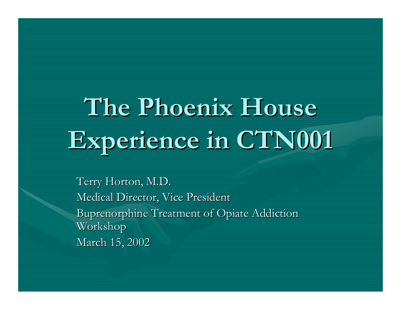# **The Phoenix House Experience in CTN001 Experience in CTN001**

Terry Horton, M.D. Medical Director, Vice President Buprenorphine Treatment of Opiate Addiction Workshop March 15, 2002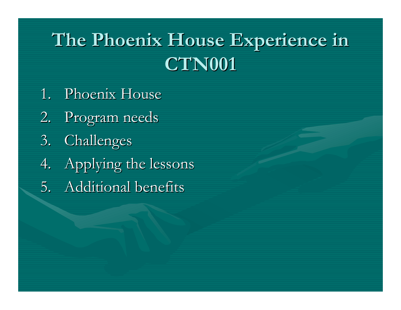### **The Phoenix House Experience in CTN001**

- 1. Phoenix House
- 2. Program needs
- 3. Challenges
- 4. Applying the lessons
- 5. Additional benefits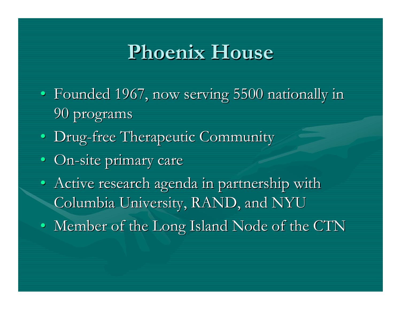#### **Phoenix House Phoenix House**

- Founded 1967, now serving 5500 nationally in 90 programs 90 programs
- Drug-free Therapeutic Community
- On-site primary care
- Active research agenda in partnership with Columbia University, RAND, and NYU
- Member of the Long Island Node of the CTN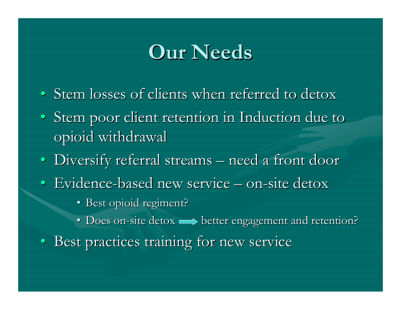### **Our Needs Our Needs**

- Stem losses of clients when referred to detox
- Stem poor client retention in Induction due to opioid withdrawal
- Diversify referral streams need a front door
- Evidence-based new service on-site detox
	- Best opioid regiment?
	- Does on-site detox  $\Longrightarrow$  better engagement and retention?
- Best practices training for new service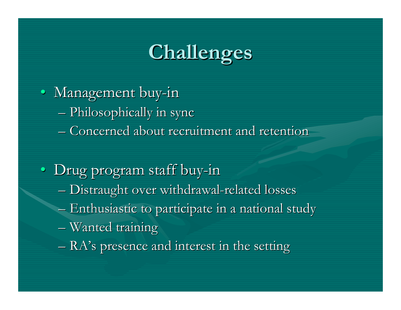## **Challenges Challenges**

- Management buy-in
	- Philosophically in sync Philosophically in sync
	- Concerned about recruitment and retention Concerned about recruitment and retention
- Drug program staff buy-in
	- $-$  Distraught over withdrawal-related losses
	- $-$  Enthusiastic to participate in a national study
	- $-$  Wanted training
	- RA's presence and interest in the setting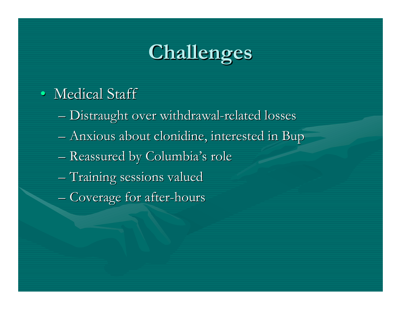

- Medical Staff
	- $-$  Distraught over withdrawal-related losses
	- Anxious about clonidine, interested in Bup
	- Reassured by Columbia's role
	- $-$  Training sessions valued
	- Coverage for after-hours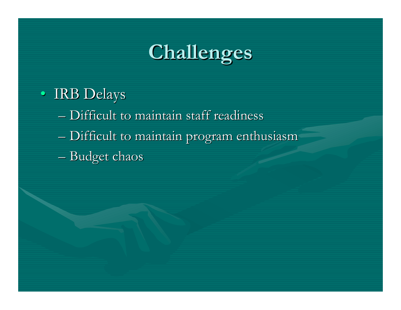

- IRB Delays
	- $-$  Difficult to maintain staff readiness
	- $-$  Difficult to maintain program enthusiasm
	- Budget chaos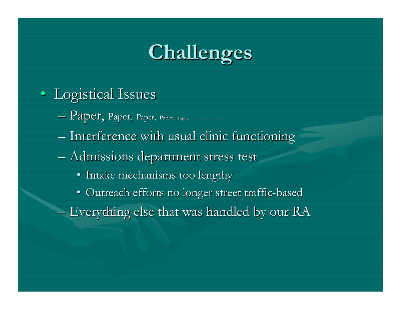

- Logistical Issues
	- $-\ \text{Paper},\ \text{Paper},\ \text{Paper},\ \text{Paper},\ \text{~Paper},\ \text{~Paper},\ \text{~Paper},\ \text{~Paper},\ \text{~Paper},\ \text{~Paper},\ \text{~Paper},\ \text{~Paper},\ \text{~Paper},\ \text{~Paper},\ \text{~Paper},\ \text{~Paper},\ \text{~Paper},\ \text{~Paper},\ \text{~Paper},\ \text{~Paper},\ \text{~Paper},\ \text{~Paper},\ \text{~Paper},\ \text{~Paper},\ \text{~Paper},\ \text{~Paper},\ \text{~Paper},\ \text{~Paper},\ \text{$
	- $-$  Interference with usual clinic functioning
	- $-$  Admissions department stress test
		- Intake mechanisms too lengthy
		- $\bullet$  Outreach efforts no longer street traffic-based
	- $-$  Everything else that was handled by our RA  $\,$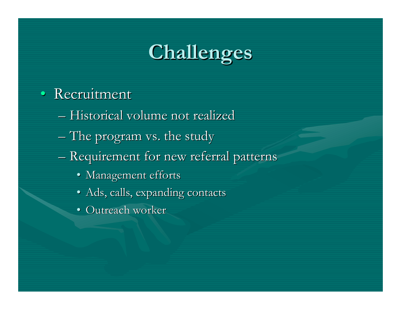

- Recruitment
	- Historical volume not realized
	- $-$  The program vs. the study
	- $-$  Requirement for new referral patterns
		- Management efforts
		- Ads, calls, expanding contacts
		- Outreach worker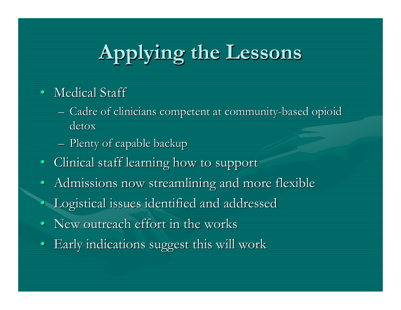# **Applying the Lessons Applying the Lessons**

- Medical Staff
	- $\mathcal{L}_{\mathcal{A}}$ – Cadre of clinicians competent at community-based opioid detox
	- <del>katalog katalog a</del> – Plenty of capable backup
- Clinical staff learning how to support
- $\bullet$ • Admissions now streamlining and more flexible
- Logistical issues identified and addressed
- $\bullet$ New outreach effort in the works
- •Early indications suggest this will work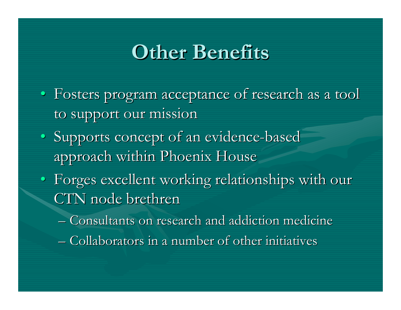#### **Other Benefits Other Benefits**

- Fosters program acceptance of research as a tool to support our mission
- Supports concept of an evidence-based approach within Phoenix House
- Forges excellent working relationships with our CTN node brethren
	- $-$  Consultants on research and addiction medicine
	- $-$  Collaborators in a number of other initiatives  $\overline{\phantom{a}}$